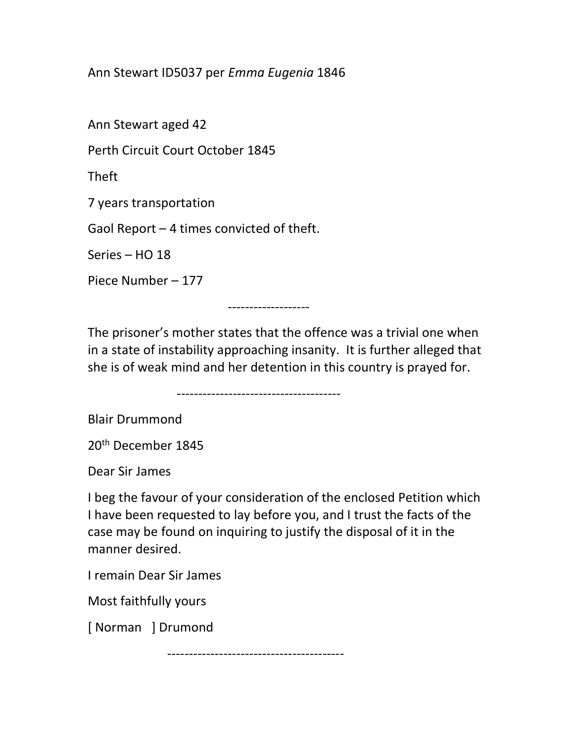## Ann Stewart ID5037 per Emma Eugenia 1846

Ann Stewart aged 42

Perth Circuit Court October 1845

Theft

7 years transportation

Gaol Report – 4 times convicted of theft.

Series – HO 18

Piece Number – 177

-------------------

The prisoner's mother states that the offence was a trivial one when in a state of instability approaching insanity. It is further alleged that she is of weak mind and her detention in this country is prayed for.

--------------------------------------

Blair Drummond

20th December 1845

Dear Sir James

I beg the favour of your consideration of the enclosed Petition which I have been requested to lay before you, and I trust the facts of the case may be found on inquiring to justify the disposal of it in the manner desired.

I remain Dear Sir James

Most faithfully yours

[ Norman ] Drumond

-----------------------------------------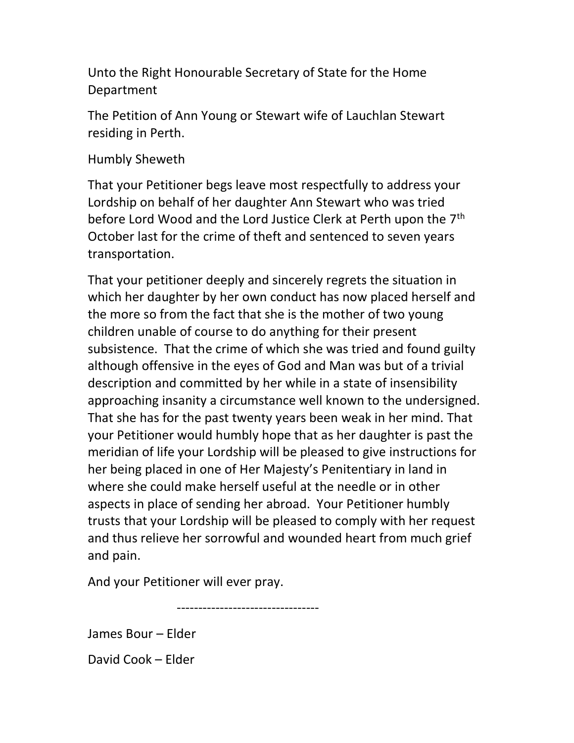Unto the Right Honourable Secretary of State for the Home Department

The Petition of Ann Young or Stewart wife of Lauchlan Stewart residing in Perth.

Humbly Sheweth

That your Petitioner begs leave most respectfully to address your Lordship on behalf of her daughter Ann Stewart who was tried before Lord Wood and the Lord Justice Clerk at Perth upon the 7<sup>th</sup> October last for the crime of theft and sentenced to seven years transportation.

That your petitioner deeply and sincerely regrets the situation in which her daughter by her own conduct has now placed herself and the more so from the fact that she is the mother of two young children unable of course to do anything for their present subsistence. That the crime of which she was tried and found guilty although offensive in the eyes of God and Man was but of a trivial description and committed by her while in a state of insensibility approaching insanity a circumstance well known to the undersigned. That she has for the past twenty years been weak in her mind. That your Petitioner would humbly hope that as her daughter is past the meridian of life your Lordship will be pleased to give instructions for her being placed in one of Her Majesty's Penitentiary in land in where she could make herself useful at the needle or in other aspects in place of sending her abroad. Your Petitioner humbly trusts that your Lordship will be pleased to comply with her request and thus relieve her sorrowful and wounded heart from much grief and pain.

And your Petitioner will ever pray.

---------------------------------

James Bour – Elder

David Cook – Elder